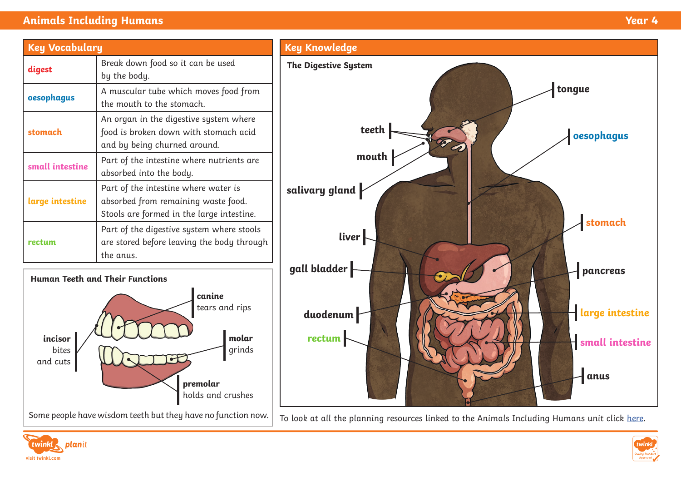# **Animals Including Humans Year 4**

| <b>Key Vocabulary</b> |                                                                                                                          |
|-----------------------|--------------------------------------------------------------------------------------------------------------------------|
| digest                | Break down food so it can be used<br>by the body.                                                                        |
| oesophagus            | A muscular tube which moves food from<br>the mouth to the stomach.                                                       |
| stomach               | An organ in the digestive system where<br>food is broken down with stomach acid<br>and by being churned around.          |
| small intestine       | Part of the intestine where nutrients are<br>absorbed into the body.                                                     |
| large intestine       | Part of the intestine where water is<br>absorbed from remaining waste food.<br>Stools are formed in the large intestine. |
| rectum                | Part of the digestive system where stools<br>are stored before leaving the body through<br>the anus.                     |





**Key Knowledge**







**anus**